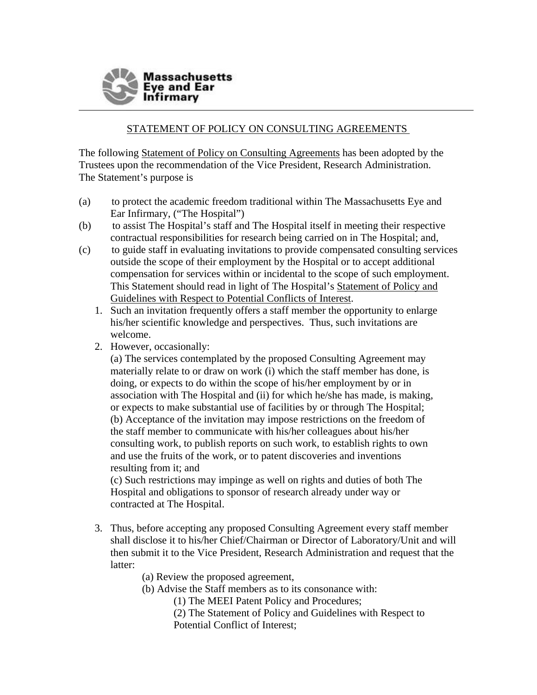

## STATEMENT OF POLICY ON CONSULTING AGREEMENTS

The following Statement of Policy on Consulting Agreements has been adopted by the Trustees upon the recommendation of the Vice President, Research Administration. The Statement's purpose is

- (a) to protect the academic freedom traditional within The Massachusetts Eye and Ear Infirmary, ("The Hospital")
- (b) to assist The Hospital's staff and The Hospital itself in meeting their respective contractual responsibilities for research being carried on in The Hospital; and,
- (c) to guide staff in evaluating invitations to provide compensated consulting services outside the scope of their employment by the Hospital or to accept additional compensation for services within or incidental to the scope of such employment. This Statement should read in light of The Hospital's Statement of Policy and Guidelines with Respect to Potential Conflicts of Interest.
	- 1. Such an invitation frequently offers a staff member the opportunity to enlarge his/her scientific knowledge and perspectives. Thus, such invitations are welcome.
	- 2. However, occasionally:

(a) The services contemplated by the proposed Consulting Agreement may materially relate to or draw on work (i) which the staff member has done, is doing, or expects to do within the scope of his/her employment by or in association with The Hospital and (ii) for which he/she has made, is making, or expects to make substantial use of facilities by or through The Hospital; (b) Acceptance of the invitation may impose restrictions on the freedom of the staff member to communicate with his/her colleagues about his/her consulting work, to publish reports on such work, to establish rights to own and use the fruits of the work, or to patent discoveries and inventions resulting from it; and

(c) Such restrictions may impinge as well on rights and duties of both The Hospital and obligations to sponsor of research already under way or contracted at The Hospital.

3. Thus, before accepting any proposed Consulting Agreement every staff member shall disclose it to his/her Chief/Chairman or Director of Laboratory/Unit and will then submit it to the Vice President, Research Administration and request that the latter:

(a) Review the proposed agreement,

(b) Advise the Staff members as to its consonance with:

(1) The MEEI Patent Policy and Procedures;

(2) The Statement of Policy and Guidelines with Respect to Potential Conflict of Interest;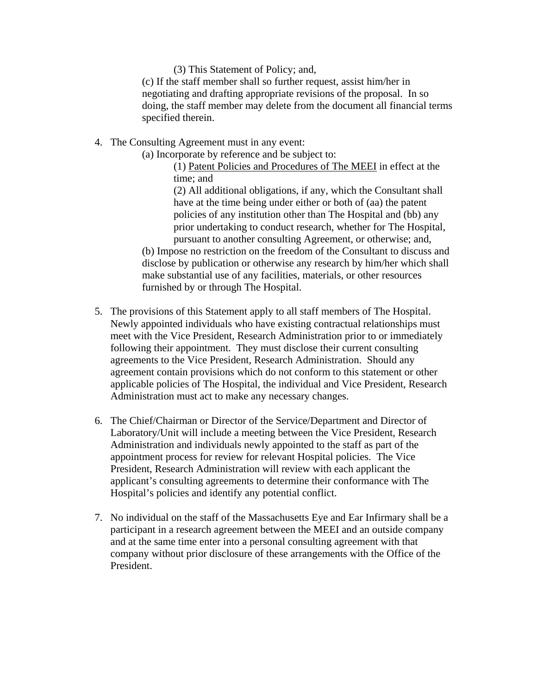(3) This Statement of Policy; and,

(c) If the staff member shall so further request, assist him/her in negotiating and drafting appropriate revisions of the proposal. In so doing, the staff member may delete from the document all financial terms specified therein.

4. The Consulting Agreement must in any event:

(a) Incorporate by reference and be subject to:

(1) Patent Policies and Procedures of The MEEI in effect at the time; and (2) All additional obligations, if any, which the Consultant shall have at the time being under either or both of (aa) the patent policies of any institution other than The Hospital and (bb) any

prior undertaking to conduct research, whether for The Hospital, pursuant to another consulting Agreement, or otherwise; and, (b) Impose no restriction on the freedom of the Consultant to discuss and disclose by publication or otherwise any research by him/her which shall make substantial use of any facilities, materials, or other resources furnished by or through The Hospital.

- 5. The provisions of this Statement apply to all staff members of The Hospital. Newly appointed individuals who have existing contractual relationships must meet with the Vice President, Research Administration prior to or immediately following their appointment. They must disclose their current consulting agreements to the Vice President, Research Administration. Should any agreement contain provisions which do not conform to this statement or other applicable policies of The Hospital, the individual and Vice President, Research Administration must act to make any necessary changes.
- 6. The Chief/Chairman or Director of the Service/Department and Director of Laboratory/Unit will include a meeting between the Vice President, Research Administration and individuals newly appointed to the staff as part of the appointment process for review for relevant Hospital policies. The Vice President, Research Administration will review with each applicant the applicant's consulting agreements to determine their conformance with The Hospital's policies and identify any potential conflict.
- 7. No individual on the staff of the Massachusetts Eye and Ear Infirmary shall be a participant in a research agreement between the MEEI and an outside company and at the same time enter into a personal consulting agreement with that company without prior disclosure of these arrangements with the Office of the President.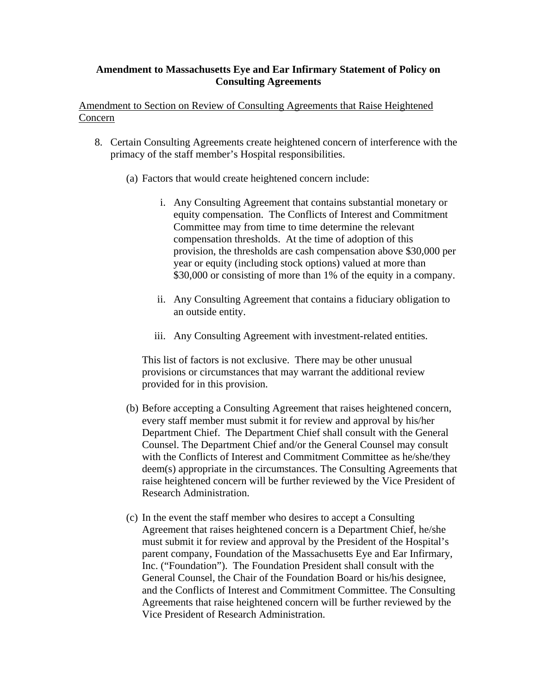## **Amendment to Massachusetts Eye and Ear Infirmary Statement of Policy on Consulting Agreements**

Amendment to Section on Review of Consulting Agreements that Raise Heightened Concern

- 8. Certain Consulting Agreements create heightened concern of interference with the primacy of the staff member's Hospital responsibilities.
	- (a) Factors that would create heightened concern include:
		- i. Any Consulting Agreement that contains substantial monetary or equity compensation. The Conflicts of Interest and Commitment Committee may from time to time determine the relevant compensation thresholds. At the time of adoption of this provision, the thresholds are cash compensation above \$30,000 per year or equity (including stock options) valued at more than \$30,000 or consisting of more than 1% of the equity in a company.
		- ii. Any Consulting Agreement that contains a fiduciary obligation to an outside entity.
		- iii. Any Consulting Agreement with investment-related entities.

This list of factors is not exclusive. There may be other unusual provisions or circumstances that may warrant the additional review provided for in this provision.

- (b) Before accepting a Consulting Agreement that raises heightened concern, every staff member must submit it for review and approval by his/her Department Chief. The Department Chief shall consult with the General Counsel. The Department Chief and/or the General Counsel may consult with the Conflicts of Interest and Commitment Committee as he/she/they deem(s) appropriate in the circumstances. The Consulting Agreements that raise heightened concern will be further reviewed by the Vice President of Research Administration.
- (c) In the event the staff member who desires to accept a Consulting Agreement that raises heightened concern is a Department Chief, he/she must submit it for review and approval by the President of the Hospital's parent company, Foundation of the Massachusetts Eye and Ear Infirmary, Inc. ("Foundation"). The Foundation President shall consult with the General Counsel, the Chair of the Foundation Board or his/his designee, and the Conflicts of Interest and Commitment Committee. The Consulting Agreements that raise heightened concern will be further reviewed by the Vice President of Research Administration.